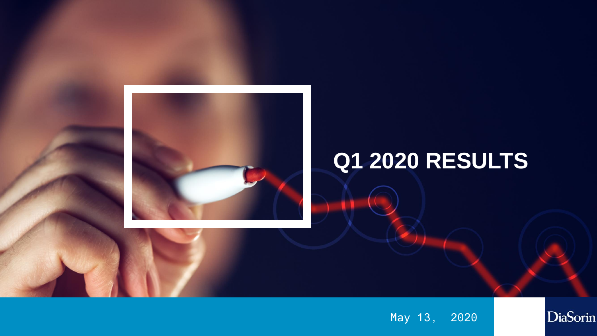

# **Q1 2020 RESULTS**

May 13, 2020

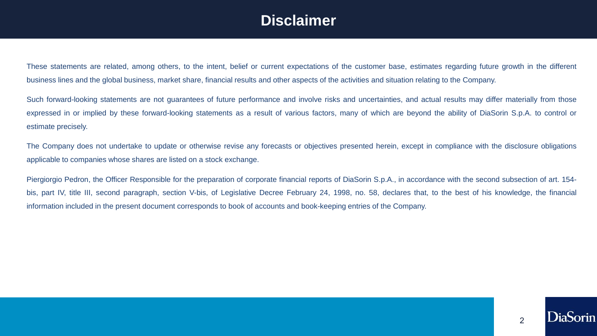### **Disclaimer**

These statements are related, among others, to the intent, belief or current expectations of the customer base, estimates regarding future growth in the different business lines and the global business, market share, financial results and other aspects of the activities and situation relating to the Company.

Such forward-looking statements are not quarantees of future performance and involve risks and uncertainties, and actual results may differ materially from those expressed in or implied by these forward-looking statements as a result of various factors, many of which are beyond the ability of DiaSorin S.p.A. to control or estimate precisely.

The Company does not undertake to update or otherwise revise any forecasts or objectives presented herein, except in compliance with the disclosure obligations applicable to companies whose shares are listed on a stock exchange.

Piergiorgio Pedron, the Officer Responsible for the preparation of corporate financial reports of DiaSorin S.p.A., in accordance with the second subsection of art. 154 bis, part IV, title III, second paragraph, section V-bis, of Legislative Decree February 24, 1998, no. 58, declares that, to the best of his knowledge, the financial information included in the present document corresponds to book of accounts and book-keeping entries of the Company.

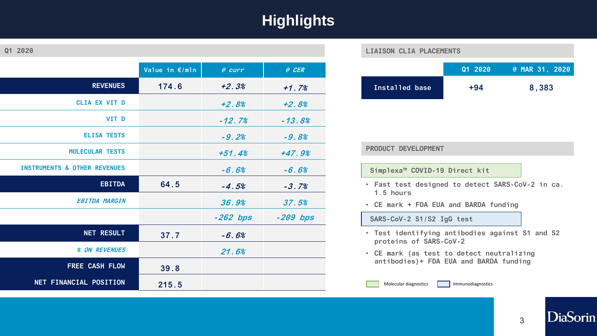## **Highlights**

| 2020<br>Q1 |  |
|------------|--|
|------------|--|

|                                         | Value in €/mln | $e$ curr   | @ CER      |
|-----------------------------------------|----------------|------------|------------|
| <b>REVENUES</b>                         | 174.6          | $+2.3%$    | $+1.7%$    |
| <b>CLIA EX VIT D</b>                    |                | $+2.8%$    | $+2.8%$    |
| VIT D                                   |                | $-12.7%$   | $-13.8%$   |
| <b>ELISA TESTS</b>                      |                | $-9.2%$    | $-9.8%$    |
| <b>MOLECULAR TESTS</b>                  |                | $+51.4%$   | $+47.9%$   |
| <b>INSTRUMENTS &amp; OTHER REVENUES</b> |                | $-6.6%$    | $-6.6%$    |
| <b>EBITDA</b>                           | 64.5           | $-4.5%$    | $-3.7%$    |
| <b>EBITDA MARGIN</b>                    |                | 36.9%      | 37.5%      |
|                                         |                | $-262$ bps | $-209$ bps |
| <b>NET RESULT</b>                       | 37.7           | $-6.6%$    |            |
| % ON REVENUES                           |                | 21.6%      |            |
| FREE CASH FLOW                          | 39.8           |            |            |
| NET FINANCIAL POSITION                  | 215.5          |            |            |

#### **LIAISON CLIA PLACEMENTS**

|                | Q1 2020 | @ MAR 31, 2020 |
|----------------|---------|----------------|
| Installed base | $+94$   | 8,383          |

#### **PRODUCT DEVELOPMENT**

#### **Simplexa™ COVID-19 Direct kit**

- **Fast test designed to detect SARS-CoV-2 in ca. 1.5 hours**
- **CE mark + FDA EUA and BARDA funding**

**SARS-CoV-2 S1/S2 IgG test**

- **Test identifying antibodies against S1 and S2 proteins of SARS-CoV-2**
- **CE mark (as test to detect neutralizing antibodies)+ FDA EUA and BARDA funding**

Molecular diagnostics **Immunodiagnostics** 



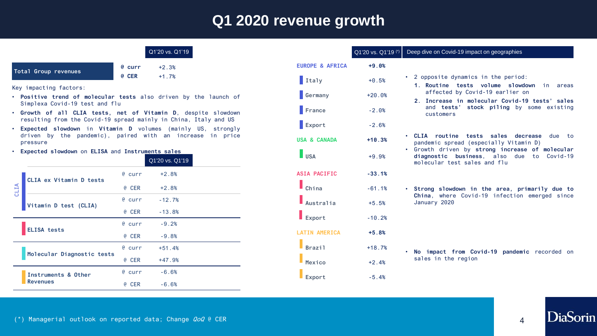#### **Q1 2020 revenue growth**

| Q1'20 vs. Q1'19 |
|-----------------|
|                 |

| Total Group revenues | e curr       |
|----------------------|--------------|
|                      | <b>@ CER</b> |

+2.3% +1.7%

Key impacting factors:

- **Positive trend of molecular tests** also driven by the launch of Simplexa Covid-19 test and flu
- **Growth of all CLIA tests, net of Vitamin D**, despite slowdown resulting from the Covid-19 spread mainly in China, Italy and US
- **Expected slowdown** in **Vitamin D** volumes (mainly US, strongly driven by the pandemic), paired with an increase in price pressure
- **Expected slowdown** on **ELISA** and **Instruments sales**

|                            |                         |          | Q1'20 vs. Q1'19 |  |
|----------------------------|-------------------------|----------|-----------------|--|
| CLIA                       | CLIA ex Vitamin D tests | $e$ curr | $+2.8%$         |  |
|                            |                         | @ CER    | $+2.8%$         |  |
|                            |                         | $e$ curr | $-12.7%$        |  |
|                            | Vitamin D test (CLIA)   | @ CER    | $-13.8%$        |  |
| <b>ELISA tests</b>         | $e$ curr                | $-9.2%$  |                 |  |
|                            | @ CER                   | $-9.8%$  |                 |  |
|                            | $e$ curr                | $+51.4%$ |                 |  |
| Molecular Diagnostic tests |                         | @ CER    | $+47.9%$        |  |
| Instruments & Other        | $e$ curr                | $-6.6%$  |                 |  |
| <b>Revenues</b>            |                         | @ CER    | $-6.6%$         |  |

|                            | Q1'20 vs. Q1'19 (*) |  |
|----------------------------|---------------------|--|
| <b>EUROPE &amp; AFRICA</b> | $+9.0%$             |  |
| Italy                      | $+0.5%$             |  |
| Germany                    | $+20.0%$            |  |
| France                     | $-2.0%$             |  |
| Export                     | $-2.6%$             |  |
| <b>USA &amp; CANADA</b>    | $+10.3%$            |  |
| <b>USA</b>                 | $+9.9%$             |  |
| <b>ASIA PACIFIC</b>        | $-33.1%$            |  |
| China                      | $-61.1%$            |  |
| Australia                  | $+5.5%$             |  |
| Export                     | $-10.2%$            |  |
| <b>LATIN AMERICA</b>       | $+5.8%$             |  |
| <b>Brazil</b>              | $+18.7%$            |  |
| Mexico                     | $+2.4%$             |  |
| Export                     | $-5.4%$             |  |

#### Deep dive on Covid-19 impact on geographies

- 2 opposite dynamics in the period:
	- **1. Routine tests volume slowdown** in areas affected by Covid-19 earlier on
- **2. Increase in molecular Covid-19 tests' sales** and **tests' stock piling** by some existing customers
- **CLIA routine tests sales decrease** due to pandemic spread (especially Vitamin D)
- Growth driven by **strong increase of molecular diagnostic business**, also due to Covid-19 molecular test sales and flu
- **Strong slowdown in the area, primarily due to China**, where Covid-19 infection emerged since January 2020

• **No impact from Covid-19 pandemic** recorded on sales in the region

DiaSorin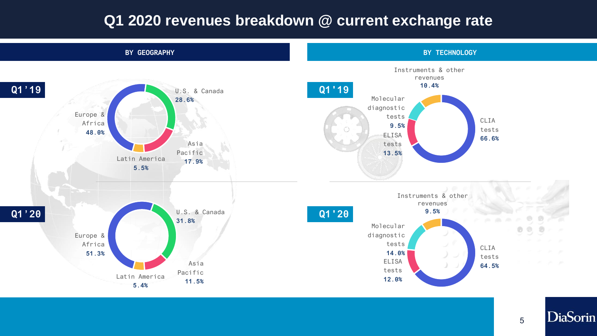#### **Q1 2020 revenues breakdown @ current exchange rate**



5

**DiaSorin**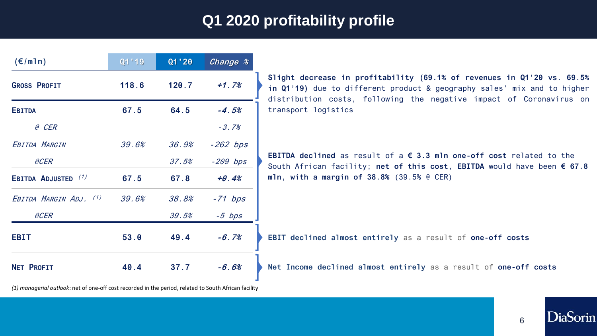### **Q1 2020 profitability profile**

| $(\epsilon/m1n)$       | Q1'19 | Q1 ' 20 | Change %   |  |
|------------------------|-------|---------|------------|--|
| <b>GROSS PROFIT</b>    | 118.6 | 120.7   | $+1.7%$    |  |
| <b>EBITDA</b>          | 67.5  | 64.5    | $-4.5%$    |  |
| @ CER                  |       |         | $-3.7%$    |  |
| EBITDA MARGIN          | 39.6% | 36.9%   | $-262$ bps |  |
| eCER                   |       | 37.5%   | $-209$ bps |  |
| EBITDA ADJUSTED (1)    | 67.5  | 67.8    | $+0.4%$    |  |
| EBITDA MARGIN ADJ. (1) | 39.6% | 38.8%   | $-71$ bps  |  |
| <b>@CER</b>            |       | 39.5%   | $-5$ bps   |  |
| <b>EBIT</b>            | 53.0  | 49.4    | $-6.7%$    |  |
| <b>NET PROFIT</b>      | 40.4  | 37.7    | $-6.6%$    |  |

**Slight decrease in profitability (69.1% of revenues in Q1'20 vs. 69.5% in Q1'19)** due to different product & geography sales' mix and to higher distribution costs, following the negative impact of Coronavirus on transport logistics

**EBITDA declined** as result of a **€ 3.3 mln one-off cost** related to the South African facility; **net of this cost**, **EBITDA** would have been **€ 67.8 mln, with a margin of 38.8%** (39.5% @ CER)

**EBIT declined almost entirely** as a result of **one-off costs**

**Net Income declined almost entirely** as a result of **one-off costs**

*(1) managerial outlook*: net of one-off cost recorded in the period, related to South African facility

6

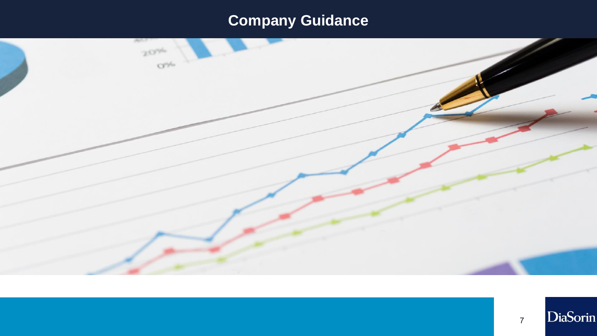# **Company Guidance**

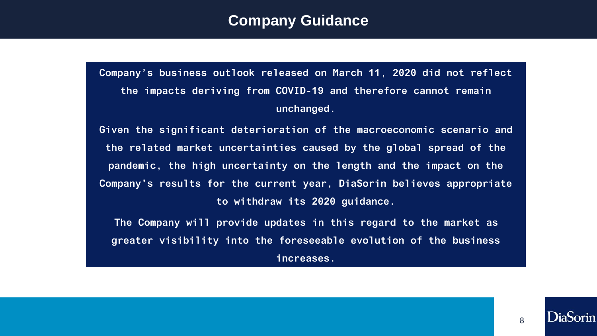#### **Company Guidance**

**Company's business outlook released on March 11, 2020 did not reflect the impacts deriving from COVID-19 and therefore cannot remain unchanged.** 

**Given the significant deterioration of the macroeconomic scenario and the related market uncertainties caused by the global spread of the pandemic, the high uncertainty on the length and the impact on the Company's results for the current year, DiaSorin believes appropriate to withdraw its 2020 guidance.** 

**The Company will provide updates in this regard to the market as greater visibility into the foreseeable evolution of the business increases.**

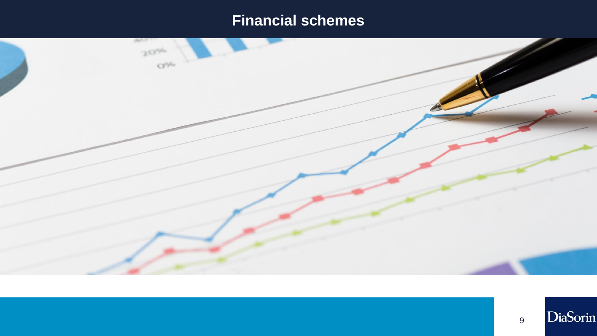### **Financial schemes**

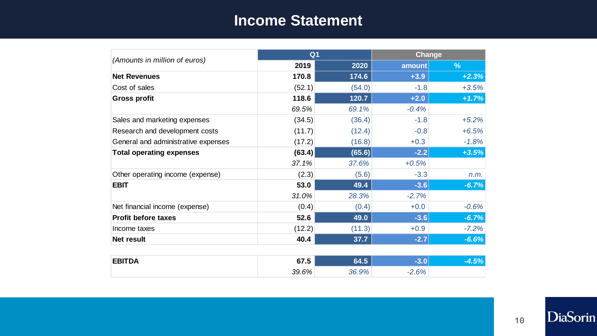#### **Income Statement**

|                                     | Q <sub>1</sub> |        |         | Change        |  |
|-------------------------------------|----------------|--------|---------|---------------|--|
| (Amounts in million of euros)       | 2019           | 2020   | amount  | $\frac{9}{6}$ |  |
| <b>Net Revenues</b>                 | 170.8          | 174.6  | $+3.9$  | $+2.3%$       |  |
| Cost of sales                       | (52.1)         | (54.0) | $-1.8$  | $+3.5%$       |  |
| <b>Gross profit</b>                 | 118.6          | 120.7  | $+2.0$  | $+1.7%$       |  |
|                                     | 69.5%          | 69.1%  | $-0.4%$ |               |  |
| Sales and marketing expenses        | (34.5)         | (36.4) | $-1.8$  | $+5.2%$       |  |
| Research and development costs      | (11.7)         | (12.4) | $-0.8$  | $+6.5%$       |  |
| General and administrative expenses | (17.2)         | (16.8) | $+0.3$  | $-1.8%$       |  |
| <b>Total operating expenses</b>     | (63.4)         | (65.6) | $-2.2$  | $+3.5%$       |  |
|                                     | 37.1%          | 37.6%  | $+0.5%$ |               |  |
| Other operating income (expense)    | (2.3)          | (5.6)  | $-3.3$  | n.m.          |  |
| <b>EBIT</b>                         | 53.0           | 49.4   | $-3.6$  | $-6.7%$       |  |
|                                     | 31.0%          | 28.3%  | $-2.7%$ |               |  |
| Net financial income (expense)      | (0.4)          | (0.4)  | $+0.0$  | $-0.6%$       |  |
| <b>Profit before taxes</b>          | 52.6           | 49.0   | $-3.6$  | $-6.7%$       |  |
| Income taxes                        | (12.2)         | (11.3) | $+0.9$  | $-7.2%$       |  |
| Net result                          | 40.4           | 37.7   | $-2.7$  | $-6.6%$       |  |
|                                     |                |        |         |               |  |
| <b>EBITDA</b>                       | 67.5           | 64.5   | $-3.0$  | $-4.5%$       |  |
|                                     | 39.6%          | 36.9%  | $-2.6%$ |               |  |

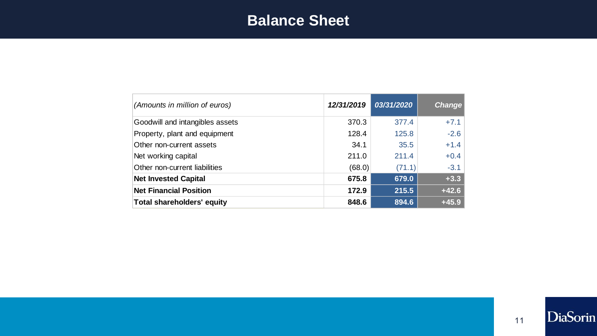#### **Balance Sheet**

| (Amounts in million of euros)   | 12/31/2019 | 03/31/2020 | <b>Change</b> |
|---------------------------------|------------|------------|---------------|
| Goodwill and intangibles assets | 370.3      | 377.4      | $+7.1$        |
| Property, plant and equipment   | 128.4      | 125.8      | $-2.6$        |
| Other non-current assets        | 34.1       | 35.5       | $+1.4$        |
| Net working capital             | 211.0      | 211.4      | $+0.4$        |
| Other non-current liabilities   | (68.0)     | (71.1)     | $-3.1$        |
| <b>Net Invested Capital</b>     | 675.8      | 679.0      | $+3.3$        |
| <b>Net Financial Position</b>   | 172.9      | 215.5      | $+42.6$       |
| Total shareholders' equity      | 848.6      | 894.6      | $+45.9$       |

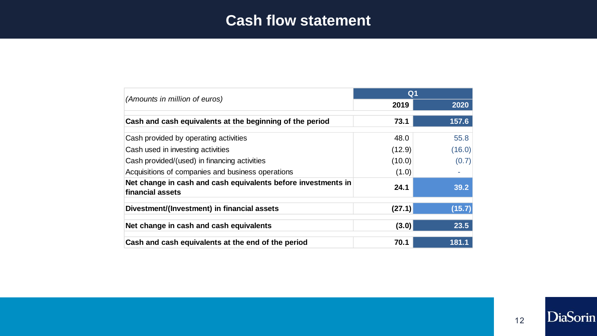#### **Cash flow statement**

|                                                                                   |        | Q <sub>1</sub> |  |  |
|-----------------------------------------------------------------------------------|--------|----------------|--|--|
| (Amounts in million of euros)                                                     | 2019   | 2020           |  |  |
| Cash and cash equivalents at the beginning of the period                          | 73.1   | 157.6          |  |  |
| Cash provided by operating activities                                             | 48.0   | 55.8           |  |  |
| Cash used in investing activities                                                 | (12.9) | (16.0)         |  |  |
| Cash provided/(used) in financing activities                                      | (10.0) | (0.7)          |  |  |
| Acquisitions of companies and business operations                                 | (1.0)  |                |  |  |
| Net change in cash and cash equivalents before investments in<br>financial assets | 24.1   | 39.2           |  |  |
| Divestment/(Investment) in financial assets                                       | (27.1) | (15.7)         |  |  |
| Net change in cash and cash equivalents                                           | (3.0)  | 23.5           |  |  |
| Cash and cash equivalents at the end of the period                                | 70.1   | 181.1          |  |  |